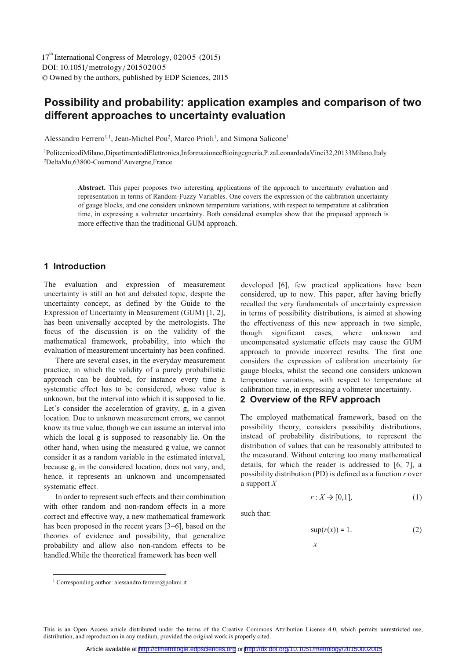DOI: 10.1051/metrology/201502005 -<sup>C</sup> Owned by the authors, published by EDP Sciences, 2015 17<sup>th</sup> International Congress of Metrology, 02005 (2015)

# **Possibility and probability: application examples and comparison of two different approaches to uncertainty evaluation**

Alessandro Ferrero<sup>1,1</sup>, Jean-Michel Pou<sup>2</sup>, Marco Prioli<sup>1</sup>, and Simona Salicone<sup>1</sup>

1PolitecnicodiMilano,DipartimentodiElettronica,InformazioneeBioingegneria,P.zaLeonardodaVinci32,20133Milano,Italy 2DeltaMu,63800-Cournond'Auvergne,France

**Abstract.** This paper proposes two interesting applications of the approach to uncertainty evaluation and representation in terms of Random-Fuzzy Variables. One covers the expression of the calibration uncertainty of gauge blocks, and one considers unknown temperature variations, with respect to temperature at calibration time, in expressing a voltmeter uncertainty. Both considered examples show that the proposed approach is more effective than the traditional GUM approach.

# **1 Introduction**

The evaluation and expression of measurement uncertainty is still an hot and debated topic, despite the uncertainty concept, as defined by the Guide to the Expression of Uncertainty in Measurement (GUM) [1, 2], has been universally accepted by the metrologists. The focus of the discussion is on the validity of the mathematical framework, probability, into which the evaluation of measurement uncertainty has been confined.

There are several cases, in the everyday measurement practice, in which the validity of a purely probabilistic approach can be doubted, for instance every time a systematic effect has to be considered, whose value is unknown, but the interval into which it is supposed to lie. Let's consider the acceleration of gravity, g, in a given location. Due to unknown measurement errors, we cannot know its true value, though we can assume an interval into which the local g is supposed to reasonably lie. On the other hand, when using the measured g value, we cannot consider it as a random variable in the estimated interval, because g, in the considered location, does not vary, and, hence, it represents an unknown and uncompensated systematic effect.

In order to represent such effects and their combination with other random and non-random effects in a more correct and effective way, a new mathematical framework has been proposed in the recent years [3–6], based on the theories of evidence and possibility, that generalize probability and allow also non-random effects to be handled.While the theoretical framework has been well

developed [6], few practical applications have been considered, up to now. This paper, after having briefly recalled the very fundamentals of uncertainty expression in terms of possibility distributions, is aimed at showing the effectiveness of this new approach in two simple,<br>though significant cases, where unknown and significant cases, where unknown and uncompensated systematic effects may cause the GUM approach to provide incorrect results. The first one considers the expression of calibration uncertainty for gauge blocks, whilst the second one considers unknown temperature variations, with respect to temperature at calibration time, in expressing a voltmeter uncertainty.

**2 Overview of the RFV approach** 

The employed mathematical framework, based on the possibility theory, considers possibility distributions, instead of probability distributions, to represent the distribution of values that can be reasonably attributed to the measurand. Without entering too many mathematical details, for which the reader is addressed to [6, 7], a possibility distribution (PD) is defined as a function *r* over a support *X*

$$
r: X \to [0,1], \tag{1}
$$

such that:

$$
\sup(r(x)) = 1. \tag{2}
$$

*X*

-

This is an Open Access article distributed under the terms of the Creative Commons Attribution License 4.0, which permits unrestricted use, distribution, and reproduction in any medium, provided the original work is properly cited.

<sup>&</sup>lt;sup>1</sup> Corresponding author: alessandro.ferrero@polimi.it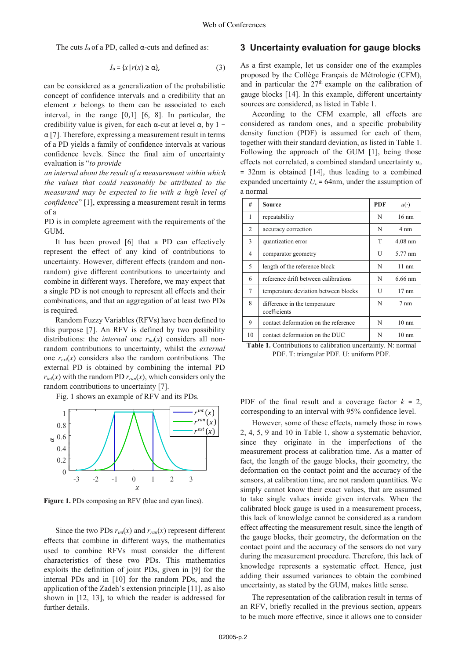The cuts  $I_{\alpha}$  of a PD, called  $\alpha$ -cuts and defined as:

$$
I_{\alpha} = \{x \mid r(x) \ge \alpha\},\tag{3}
$$

can be considered as a generalization of the probabilistic concept of confidence intervals and a credibility that an element *x* belongs to them can be associated to each interval, in the range [0,1] [6, 8]. In particular, the credibility value is given, for each  $\alpha$ -cut at level  $\alpha$ , by 1 –  $\alpha$  [7]. Therefore, expressing a measurement result in terms of a PD yields a family of confidence intervals at various confidence levels. Since the final aim of uncertainty evaluation is "*to provide*

*an interval about the result of a measurement within which the values that could reasonably be attributed to the measurand may be expected to lie with a high level of confidence*" [1], expressing a measurement result in terms of a

PD is in complete agreement with the requirements of the GUM.

It has been proved [6] that a PD can effectively represent the effect of any kind of contributions to uncertainty. However, different effects (random and nonrandom) give different contributions to uncertainty and combine in different ways. Therefore, we may expect that a single PD is not enough to represent all effects and their combinations, and that an aggregation of at least two PDs is required.

Random Fuzzy Variables (RFVs) have been defined to this purpose [7]. An RFV is defined by two possibility distributions: the *internal* one  $r_{int}(x)$  considers all nonrandom contributions to uncertainty, whilst the *external*  one  $r_{\text{ext}}(x)$  considers also the random contributions. The external PD is obtained by combining the internal PD  $r_{int}(x)$  with the random PD  $r_{ran}(x)$ , which considers only the random contributions to uncertainty [7].

Fig. 1 shows an example of RFV and its PDs.



Figure 1. PDs composing an RFV (blue and cyan lines).

Since the two PDs  $r_{int}(x)$  and  $r_{ran}(x)$  represent different <sup>e</sup>ffects that combine in different ways, the mathematics used to combine RFVs must consider the different characteristics of these two PDs. This mathematics exploits the definition of joint PDs, given in [9] for the internal PDs and in [10] for the random PDs, and the application of the Zadeh's extension principle [11], as also shown in [12, 13], to which the reader is addressed for further details.

### **3 Uncertainty evaluation for gauge blocks**

As a first example, let us consider one of the examples proposed by the Collège Français de Métrologie (CFM), and in particular the  $27<sup>th</sup>$  example on the calibration of gauge blocks [14]. In this example, different uncertainty sources are considered, as listed in Table 1.

According to the CFM example, all effects are considered as random ones, and a specific probability density function (PDF) is assumed for each of them, together with their standard deviation, as listed in Table 1. Following the approach of the GUM [1], being those <sup>e</sup>ffects not correlated, a combined standard uncertainty *u*<sup>c</sup> = 32nm is obtained [14], thus leading to a combined expanded uncertainty  $U_c = 64$ nm, under the assumption of a normal

| #  | <b>Source</b>                                 | <b>PDF</b> | $u(\cdot)$      |
|----|-----------------------------------------------|------------|-----------------|
| 1  | repeatability                                 | N          | $16 \text{ nm}$ |
| 2  | accuracy correction                           | N          | 4 nm            |
| 3  | quantization error                            | T          | $4.08$ nm       |
| 4  | comparator geometry                           | U          | 5.77 nm         |
| 5  | length of the reference block                 | N          | $11 \text{ nm}$ |
| 6  | reference drift between calibrations          | N          | $6.66$ nm       |
| 7  | temperature deviation between blocks          | U          | $17 \text{ nm}$ |
| 8  | difference in the temperature<br>coefficients | N          | $7 \text{ nm}$  |
| 9  | contact deformation on the reference          | N          | $10 \text{ nm}$ |
| 10 | contact deformation on the DUC                | N          | $10 \text{ nm}$ |

Table 1. Contributions to calibration uncertainty. N: normal PDF. T: triangular PDF. U: uniform PDF.

PDF of the final result and a coverage factor  $k = 2$ , corresponding to an interval with 95% confidence level.

However, some of these effects, namely those in rows 2, 4, 5, 9 and 10 in Table 1, show a systematic behavior, since they originate in the imperfections of the measurement process at calibration time. As a matter of fact, the length of the gauge blocks, their geometry, the deformation on the contact point and the accuracy of the sensors, at calibration time, are not random quantities. We simply cannot know their exact values, that are assumed to take single values inside given intervals. When the calibrated block gauge is used in a measurement process, this lack of knowledge cannot be considered as a random effect affecting the measurement result, since the length of the gauge blocks, their geometry, the deformation on the contact point and the accuracy of the sensors do not vary during the measurement procedure. Therefore, this lack of knowledge represents a systematic effect. Hence, just adding their assumed variances to obtain the combined uncertainty, as stated by the GUM, makes little sense.

The representation of the calibration result in terms of an RFV, briefly recalled in the previous section, appears to be much more effective, since it allows one to consider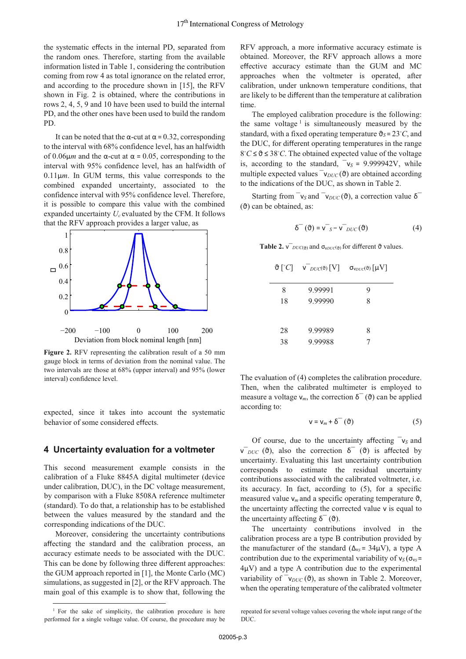the systematic effects in the internal PD, separated from the random ones. Therefore, starting from the available information listed in Table 1, considering the contribution coming from row 4 as total ignorance on the related error, and according to the procedure shown in [15], the RFV shown in Fig. 2 is obtained, where the contributions in rows 2, 4, 5, 9 and 10 have been used to build the internal PD, and the other ones have been used to build the random PD.

It can be noted that the  $\alpha$ -cut at  $\alpha$  = 0.32, corresponding to the interval with 68% confidence level, has an halfwidth of 0.06μ*<sup>m</sup>* and the α-cut at α = 0.05, corresponding to the interval with 95% confidence level, has an halfwidth of  $0.11 \mu m$ . In GUM terms, this value corresponds to the combined expanded uncertainty, associated to the confidence interval with 95% confidence level. Therefore, it is possible to compare this value with the combined expanded uncertainty *Uc* evaluated by the CFM. It follows that the RFV approach provides a larger value, as



**Figure 2.** RFV representing the calibration result of a 50 mm gauge block in terms of deviation from the nominal value. The two intervals are those at 68% (upper interval) and 95% (lower interval) confidence level.

expected, since it takes into account the systematic behavior of some considered effects.

# **4 Uncertainty evaluation for a voltmeter**

This second measurement example consists in the calibration of a Fluke 8845A digital multimeter (device under calibration, DUC), in the DC voltage measurement, by comparison with a Fluke 8508A reference multimeter (standard). To do that, a relationship has to be established between the values measured by the standard and the corresponding indications of the DUC.

Moreover, considering the uncertainty contributions <sup>a</sup>ffecting the standard and the calibration process, an accuracy estimate needs to be associated with the DUC. This can be done by following three different approaches: the GUM approach reported in [1], the Monte Carlo (MC) simulations, as suggested in [2], or the RFV approach. The main goal of this example is to show that, following the

<sup>1</sup> For the sake of simplicity, the calibration procedure is here performed for a single voltage value. Of course, the procedure may be RFV approach, a more informative accuracy estimate is obtained. Moreover, the RFV approach allows a more <sup>e</sup>ffective accuracy estimate than the GUM and MC approaches when the voltmeter is operated, after calibration, under unknown temperature conditions, that are likely to be different than the temperature at calibration time.

The employed calibration procedure is the following: the same voltage<sup>1</sup> is simultaneously measured by the standard, with a fixed operating temperature  $\vartheta_S = 23^\circ C$ , and the DUC for different operating temperatures in the range the DUC, for different operating temperatures in the range  $8°C \le \theta \le 38°C$ . The obtained expected value of the voltage<br>is according to the standard  $v_c = 9.999942V$ , while is, according to the standard,  $v_S = 9.999942V$ , while multiple expected values  $\bar{v}_{DUC}(\vartheta)$  are obtained according to the indications of the DUC, as shown in Table 2.

Starting from  $\bar{v}_s$  and  $\bar{v}_{DUC}(\vartheta)$ , a correction value δ<sup> $\bar{o}$ </sup>  $(θ)$  can be obtained, as:

$$
\delta^{-}(\vartheta) = \sqrt{s} - \sqrt{s_{DUC}}(\vartheta)
$$
 (4)

**Table 2.**  $\sqrt{D}UC(\theta)$  and  $\sigma_{VDUC}(\theta)$  for different  $\vartheta$  values.

|    | $\vartheta$ [°C] $V_{DUC}(\vartheta)$ [V] | $\sigma_{\text{VDUC}}(\vartheta)$ $\lfloor \mu V \rfloor$ |
|----|-------------------------------------------|-----------------------------------------------------------|
| 8  | 9.99991                                   | 9                                                         |
| 18 | 9.99990                                   | 8                                                         |
|    |                                           |                                                           |
| 28 | 9.99989                                   | 8                                                         |
| 38 | 9.99988                                   |                                                           |
|    |                                           |                                                           |

The evaluation of (4) completes the calibration procedure. Then, when the calibrated multimeter is employed to measure a voltage  $ν_m$ , the correction  $δ<sup>-</sup>(θ)$  can be applied according to:

$$
\mathsf{v} = \mathsf{v}_m + \delta^-(\vartheta) \tag{5}
$$

Of course, due to the uncertainty affecting ¯v*<sup>S</sup>* and  $\overline{v}_{DUC}$  ( $\vartheta$ ), also the correction  $\delta$ <sup>-</sup> ( $\vartheta$ ) is affected by uncertainty. Evaluating this last uncertainty contribution corresponds to estimate the residual uncertainty contributions associated with the calibrated voltmeter, i.e. its accuracy. In fact, according to (5), for a specific measured value  $v_m$  and a specific operating temperature  $\vartheta$ , the uncertainty affecting the corrected value v is equal to the uncertainty affecting  $\delta^-(\theta)$ .

The uncertainty contributions involved in the calibration process are a type B contribution provided by the manufacturer of the standard ( $\Delta_{\text{vs}}$  = 34 $\mu$ V), a type A contribution due to the experimental variability of  $v_S(\sigma_{vs} =$ <sup>4</sup>μV) and a type A contribution due to the experimental variability of  $\bar{v}_{DUC}(\vartheta)$ , as shown in Table 2. Moreover, when the operating temperature of the calibrated voltmeter

repeated for several voltage values covering the whole input range of the DUC.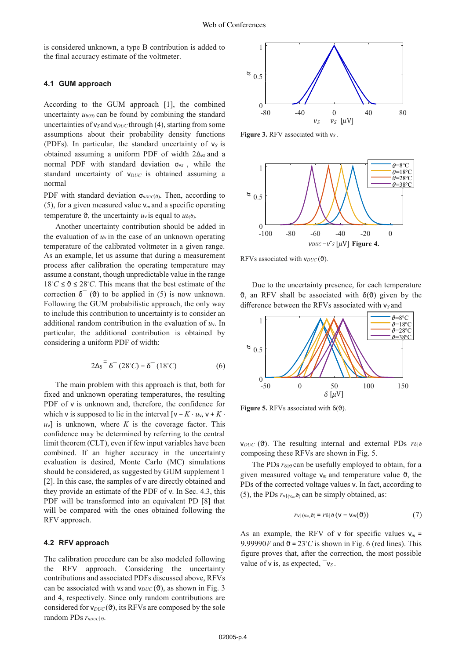is considered unknown, a type B contribution is added to the final accuracy estimate of the voltmeter.

#### **4.1 GUM approach**

According to the GUM approach [1], the combined uncertainty  $u_{\delta(\theta)}$  can be found by combining the standard uncertainties of  $v_S$  and  $v_{DUC}$  through (4), starting from some assumptions about their probability density functions (PDFs). In particular, the standard uncertainty of  $v_S$  is obtained assuming a uniform PDF of width 2∆v*<sup>S</sup>* and a normal PDF with standard deviation σ<sub>vs</sub>, while the standard uncertainty of v<sub>DUC</sub> is obtained assuming a normal

PDF with standard deviation σ<sub>ν*DUC*(θ)</sub>. Then, according to (5), for a given measured value  $v_m$  and a specific operating temperature  $\vartheta$ , the uncertainty  $u_{\nu}$  is equal to  $u_{\delta(\vartheta)}$ .

Another uncertainty contribution should be added in the evaluation of  $u<sub>y</sub>$  in the case of an unknown operating temperature of the calibrated voltmeter in a given range. As an example, let us assume that during a measurement process after calibration the operating temperature may assume a constant, though unpredictable value in the range  $18°C \le \theta \le 28°C$ . This means that the best estimate of the correction  $\delta^-(\theta)$  to be applied in (5) is now unknown correction  $\delta^-(\theta)$  to be applied in (5) is now unknown. Following the GUM probabilistic approach, the only way to include this contribution to uncertainty is to consider an additional random contribution in the evaluation of  $u<sub>v</sub>$ . In particular, the additional contribution is obtained by considering a uniform PDF of width:

$$
2\Delta \delta = \delta^{-} (28^{\circ}C) - \delta^{-} (18^{\circ}C) \tag{6}
$$

The main problem with this approach is that, both for fixed and unknown operating temperatures, the resulting PDF of v is unknown and, therefore, the confidence for which v is supposed to lie in the interval  $[v - K \cdot u_v, v + K \cdot$  $|u_v|$  is unknown, where *K* is the coverage factor. This confidence may be determined by referring to the central limit theorem (CLT), even if few input variables have been combined. If an higher accuracy in the uncertainty evaluation is desired, Monte Carlo (MC) simulations should be considered, as suggested by GUM supplement 1 [2]. In this case, the samples of v are directly obtained and they provide an estimate of the PDF of v. In Sec. 4.3, this PDF will be transformed into an equivalent PD [8] that will be compared with the ones obtained following the RFV approach.

# **4.2 RFV approach**

The calibration procedure can be also modeled following the RFV approach. Considering the uncertainty contributions and associated PDFs discussed above, RFVs can be associated with  $v_S$  and  $v_{DUC}(\theta)$ , as shown in Fig. 3 and 4, respectively. Since only random contributions are considered for  $v_{DUC}(\theta)$ , its RFVs are composed by the sole random PDs  $r_{\text{VDUC}}$ |θ.



**Figure 3.** RFV associated with v*<sup>S</sup>* .



RFVs associated with  $v_{DUC}(\vartheta)$ .

Due to the uncertainty presence, for each temperature  $\vartheta$ , an RFV shall be associated with  $\delta(\vartheta)$  given by the



**Figure 5.** RFVs associated with  $\delta(\vartheta)$ .

*v<sub>DUC</sub>* (θ). The resulting internal and external PDs  $r_{\delta}$ |θ composing these RFVs are shown in Fig. 5.

The PDs  $r_{\delta}$  can be usefully employed to obtain, for a given measured voltage  $v_m$  and temperature value  $\vartheta$ , the PDs of the corrected voltage values v. In fact, according to (5), the PDs  $r_{\nu|(\nu_m,\vartheta)}$  can be simply obtained, as:

$$
rv|_{(v_m,\vartheta)} = r\delta|\vartheta\left(\mathsf{V} - \mathsf{V}_m(\vartheta)\right) \tag{7}
$$

As an example, the RFV of  $v$  for specific values  $v_m =$ 9.99990*V* and  $\vartheta = 23^\circ C$  is shown in Fig. 6 (red lines). This figure proves that after the correction the most possible figure proves that, after the correction, the most possible value of  $v$  is, as expected,  $v_S$ .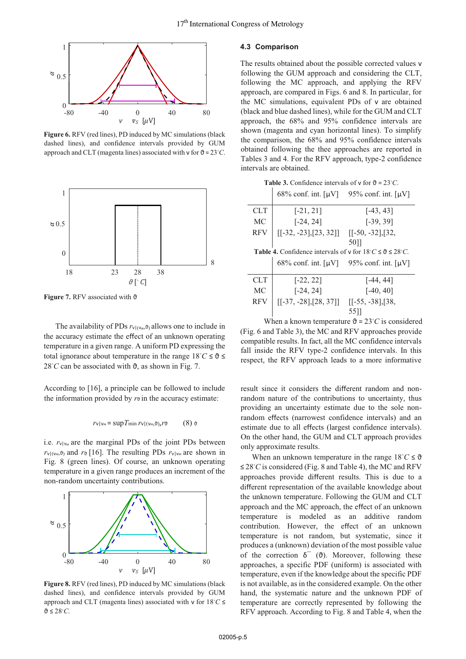

**Figure 6.** RFV (red lines), PD induced by MC simulations (black dashed lines), and confidence intervals provided by GUM approach and CLT (magenta lines) associated with  $\mathsf{v}$  for  $\mathfrak{d} = 23^{\circ}C$ .



**Figure 7. RFV** associated with θ

The availability of PDs  $r_{\nu|\langle v_m, \vartheta \rangle}$  allows one to include in the accuracy estimate the effect of an unknown operating temperature in a given range. A uniform PD expressing the total ignorance about temperature in the range  $18 °C \le \theta \le 28 °C$  can be associated with  $\theta$  as shown in Fig. 7 28<sup>*°C*</sup> can be associated with  $\vartheta$ , as shown in Fig. 7.

According to [16], a principle can be followed to include the information provided by  $r<sub>0</sub>$  in the accuracy estimate:

$$
r_{\mathsf{V}|\mathsf{V}m} = \sup T_{\min} \, r_{\mathsf{V}|\left(\mathsf{V}m,\vartheta\right)}, \, r_{\vartheta} \qquad \quad (8) \, \mathfrak{g}
$$

i.e.  $r_{V|V_m}$  are the marginal PDs of the joint PDs between  $r_{\nu}|_{(v_m,\vartheta)}$  and  $r_{\vartheta}$  [16]. The resulting PDs  $r_{\nu}|_{v_m}$  are shown in Fig. 8 (green lines). Of course, an unknown operating temperature in a given range produces an increment of the non-random uncertainty contributions.



**Figure 8.** RFV (red lines), PD induced by MC simulations (black dashed lines), and confidence intervals provided by GUM approach and CLT (magenta lines) associated with v for  $18^{\circ}C \le$ <br>**A**  $\le$  2°<sup> $\circ$ </sup> ϑ ≤ 28◦ *C*.

## **4.3 Comparison**

The results obtained about the possible corrected values v following the GUM approach and considering the CLT, following the MC approach, and applying the RFV approach, are compared in Figs. 6 and 8. In particular, for the MC simulations, equivalent PDs of v are obtained (black and blue dashed lines), while for the GUM and CLT approach, the 68% and 95% confidence intervals are shown (magenta and cyan horizontal lines). To simplify the comparison, the 68% and 95% confidence intervals obtained following the thee approaches are reported in Tables 3 and 4. For the RFV approach, type-2 confidence intervals are obtained.

**Table 3.** Confidence intervals of v for  $\vartheta = 23^{\circ}C$ .

|            | $68\%$ conf. int. $\lceil \mu V \rceil$ 95% conf. int. $\lceil \mu V \rceil$           |                    |
|------------|----------------------------------------------------------------------------------------|--------------------|
| CLT        | $[-21, 21]$                                                                            | $[-43, 43]$        |
| МC         | $[-24, 24]$                                                                            | $[-39, 39]$        |
| <b>RFV</b> | $\begin{bmatrix} [-32, -23], [23, 32] \end{bmatrix}$                                   | $[[-50, -32],[32,$ |
|            |                                                                                        | 50]]               |
|            | <b>Table 4.</b> Confidence intervals of v for $18^\circ C \le \theta \le 28^\circ C$ . |                    |
|            | 68% conf. int. $\lceil \mu V \rceil$ 95% conf. int. $\lceil \mu V \rceil$              |                    |
| CLT        | $[-22, 22]$                                                                            | [-44, 44]          |
| МC         | $[-24, 24]$                                                                            | $[-40, 40]$        |
| <b>RFV</b> | $[[-37, -28], [28, 37]]$                                                               | $[[-55, -38],[38,$ |
|            |                                                                                        | 55 I I             |

When a known temperature  $\theta = 23^{\circ}C$  is considered<br>and Table 3), the MC and REV approaches provide (Fig. 6 and Table 3), the MC and RFV approaches provide compatible results. In fact, all the MC confidence intervals fall inside the RFV type-2 confidence intervals. In this respect, the RFV approach leads to a more informative

result since it considers the different random and nonrandom nature of the contributions to uncertainty, thus providing an uncertainty estimate due to the sole nonrandom effects (narrowest confidence intervals) and an estimate due to all effects (largest confidence intervals). On the other hand, the GUM and CLT approach provides only approximate results.

When an unknown temperature in the range  $18^{\circ}C \le \vartheta$ <br><sup>2</sup><sup>*C*</sup> is considered (Fig. 8 and Table 4), the MC and PEV ≤ 28◦ *C* is considered (Fig. 8 and Table 4), the MC and RFV approaches provide different results. This is due to a different representation of the available knowledge about the unknown temperature. Following the GUM and CLT approach and the MC approach, the effect of an unknown temperature is modeled as an additive random contribution. However, the effect of an unknown temperature is not random, but systematic, since it produces a (unknown) deviation of the most possible value of the correction  $\delta$ <sup> $\sigma$ </sup> ( $\theta$ ). Moreover, following these approaches, a specific PDF (uniform) is associated with temperature, even if the knowledge about the specific PDF is not available, as in the considered example. On the other hand, the systematic nature and the unknown PDF of temperature are correctly represented by following the RFV approach. According to Fig. 8 and Table 4, when the